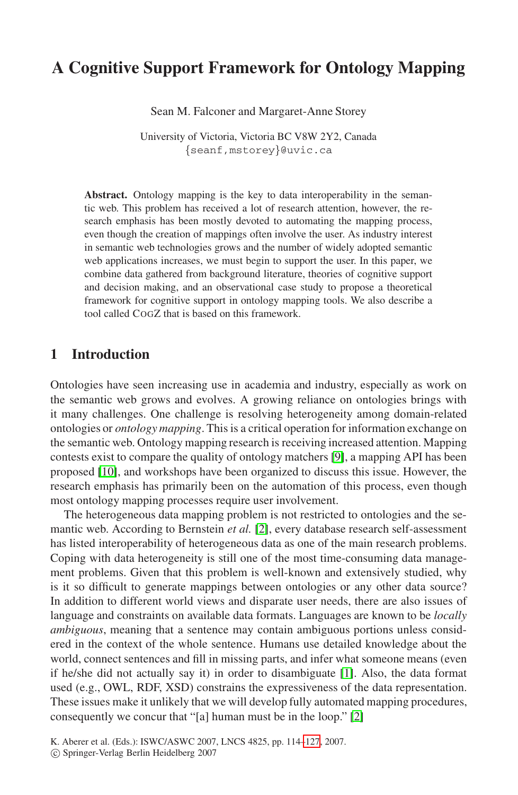# **A Cognitive Support Framework for Ontology Mapping**

Sean M. Falconer and Margaret-Anne Storey

University of Victoria, Victoria BC V8W 2Y2, Canada {seanf,mstorey}@uvic.ca

Abstract. Ontology mapping is the key to data interoperability in the semantic web. This problem has received a lot of research attention, however, the research emphasis has been mostly devoted to automating the mapping process, even though the creation of mappings often involve the user. As industry interest in semantic web technologies grows and the number of widely adopted semantic web applications increases, we must begin to support the user. In this paper, we combine data gathered from background literature, theories of cognitive support and decision making, and an observational case study to propose a theoretical framework for cognitive support in ontology mapping tools. We also describe a tool called COGZ that is based on this framework.

# **1 Introduction**

Ontologies have seen increasing use in academia and industry, especially as work on the semantic web grows and evolves. A growing reliance on ontologies brings with it many challenges. [One](#page-12-0) challenge is resolving heterogeneity among domain-related ontologies or *ontology mapping*. This is a critical operation for information exchange on the semantic web. Ontology mapping research is receiving increased attention. Mapping contests exist to compare the quality of ontology matchers [9], a mapping API has been proposed [10], and workshops have been organized to discuss this issue. However, the research emphasis has primarily been on the automation of this process, even though most ontology mapping processes require user involvement.

The heterogeneous data mapping problem is not restricted to ontologies and the semantic web. According to Bernstein *et al.* [2], every database research self-assessment has listed interoperability of heterogeneous data as one of the main research problems. Coping with data heterogeneity is still [on](#page-12-1)e of the most time-consuming data management problems. Given that this problem is well-known and extensively studied, why is it so difficult to generate mappings between ontologies or any other data source? In addition to different world views and [dis](#page-12-0)parate user needs, there are also issues of language and constraints on available data formats. Languages are known to be *locally ambiguous*, meaning that a sen[tenc](#page-13-0)e may contain ambiguous portions unless considered in the context of the whole sentence. Humans use detailed knowledge about the world, connect sentences and fill in missing parts, and infer what someone means (even if he/she did not actually say it) in order to disambiguate [1]. Also, the data format used (e.g., OWL, RDF, XSD) constrains the expressiveness of the data representation. These issues make it unlikely that we will develop fully automated mapping procedures, consequently we concur that "[a] human must be in the loop." [2]

K. Aberer et al. (Eds.): ISWC/ASWC 2007, LNCS 4825, pp. 114–127, 2007.

<sup>-</sup>c Springer-Verlag Berlin Heidelberg 2007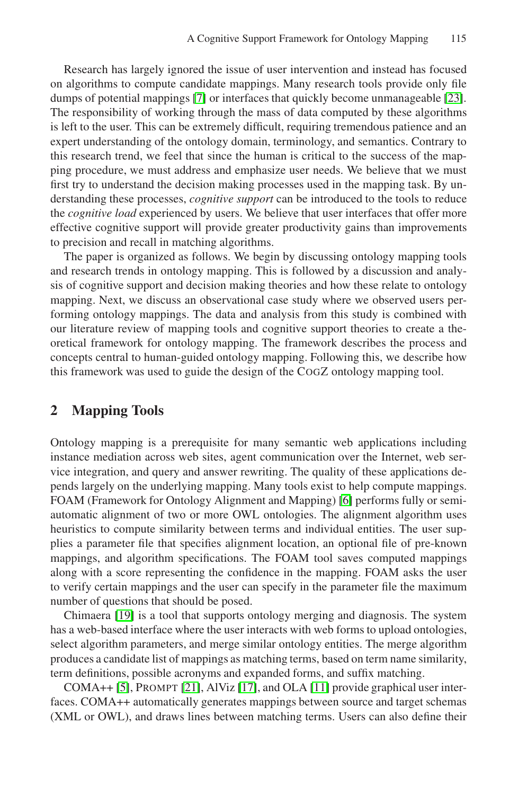Research has largely ignored the issue of user intervention and instead has focused on algorithms to compute candidate mappings. Many research tools provide only file dumps of potential mappings [7] or interfaces that quickly become unmanageable [23]. The responsibility of working through the mass of data computed by these algorithms is left to the user. This can be extremely difficult, requiring tremendous patience and an expert understanding of the ontology domain, terminology, and semantics. Contrary to this research trend, we feel that since the human is critical to the success of the mapping procedure, we must address and emphasize user needs. We believe that we must first try to understand the decision making processes used in the mapping task. By understanding these processes, *cognitive support* can be introduced to the tools to reduce the *cognitive load* experienced by users. We believe that user interfaces that offer more effective cognitive support will provide greater productivity gains than improvements to precision and recall in matching algorithms.

The paper is organized as follows. We begin by discussing ontology mapping tools and research trends in ontology mapping. This is followed by a discussion and analysis of cognitive support and decision making theories and how these relate to ontology mapping. Next, we discuss an observational case study where we observed users performing ontology mappings. The data and analysis from this study is combined with our literature review of mapping tools and cognitive support theories to create a theoretical framework for ontology mapping. The framework describes the process and concepts central to human-guided ontology mapping. Following this, we describe how this framework was used to guide the design of the COGZ ontology mapping tool.

# **2 Mapping Tools**

Ontology mapping is a prerequisite for many semantic web applications including instance mediation across web sites, agent communication over the Internet, web service integration, and query and answer rewriting. The quality of these applications depends largely on the underlying mapping. Many tools exist to help compute mappings. FOAM (Framework for Ontology Alignment and Mapping) [6] performs fully or semiautomatic alignment of two or more OWL ontologies. The alignment algorithm uses heuristics to compute similarity between terms and individual entities. The user supplies a parameter file that specifies alignment location, an optional file of pre-known mappings, and algorithm specifications. The FOAM tool saves computed mappings along [with](#page-13-1) a score [rep](#page-13-2)resenting t[he c](#page-13-3)onfidence in the mapping. FOAM asks the user to verify certain mappings and the user can specify in the parameter file the maximum number of questions that should be posed.

Chimaera [19] is a tool that supports ontology merging and diagnosis. The system has a web-based interface where the user interacts with web forms to upload ontologies, select algorithm parameters, and merge similar ontology entities. The merge algorithm produces a candidate list of mappings as matching terms, based on term name similarity, term definitions, possible acronyms and expanded forms, and suffix matching.

COMA++ [5], PROMPT [21], AlViz [17], and OLA [11] provide graphical user interfaces. COMA++ automatically generates mappings between source and target schemas (XML or OWL), and draws lines between matching terms. Users can also define their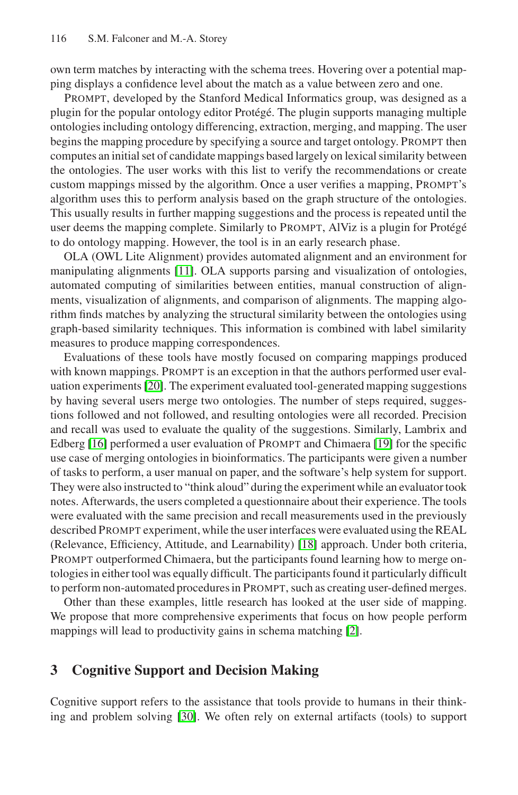own term matches by interacting with the schema trees. Hovering over a potential mapping displays a confidence level about the match as a value between zero and one.

PROMPT, developed by the Stanford Medical Informatics group, was designed as a plugin for the popular ontology editor Protégé. The plugin supports managing multiple ontologies including ontology differencing, extraction, merging, and mapping. The user begins the mapping procedure by specifying a source and target ontology. PROMPT then comp[utes](#page-13-3) an initial set of candidate mappings based largely on lexical similarity between the ontologies. The user works with this list to verify the recommendations or create custom mappings missed by the algorithm. Once a user verifies a mapping, PROMPT's algorithm uses this to perform analysis based on the graph structure of the ontologies. This usually results in further mapping suggestions and the process is repeated until the user deems the mapping complete. Similarly to PROMPT, AlViz is a plugin for Protégé to do ontology mapping. However, the tool is in an early research phase.

OLA (OWL Lite Alignment) provides automated alignment and an environment for [ma](#page-13-4)nipulating alignments [11]. OLA supports parsing and visualization of ontologies, automated computing of similarities between entities, manual construction of alignments, visualization of alignments, and comparison of alignments. The mapping algorithm finds matches by analyzing the structural similarity between the ontologies using graph-based similarity techniques. This infor[matio](#page-13-5)n is combined with label similarity measures to produce mapping correspondences.

Evaluations of these tools have mostly focused on comparing mappings produced with known mappings. PROMPT is an exception in that the authors performed user evaluation experiments [20]. The experiment evaluated tool-generated mapping suggestions by having several users merge two ontologies. The number of steps required, suggestions followed and not followed, and resulting ontologies were all recorded. Precision and recall was used to evaluate [the](#page-13-6) quality of the suggestions. Similarly, Lambrix and Edberg [16] performed a user evaluation of PROMPT and Chimaera [19] for the specific use case of merging ontologies in bioinformatics. The participants were given a number of tasks to perform, a user manual on paper, and the software's help system for support. They were also instructed to "think aloud" during the experiment while an evaluator took notes. Afterwards, the users completed a questionnaire about their experience. The tools were evaluated with the same precision a[nd](#page-12-0) recall measurements used in the previously described PROMPT experiment, while the user interfaces were evaluated using the REAL (Relevance, Efficiency, Attitude, and Learnability) [18] approach. Under both criteria, PROMPT outperformed Chimaera, but the participants found learning how to merge ontologies in either tool was equally difficult. The participants found it particularly difficult to perform non-automated procedures in PROMPT, such as creating user-defined merges.

Ot[her](#page-13-7) than these examples, little research has looked at the user side of mapping. We propose that more comprehensive experiments that focus on how people perform mappings will lead to productivity gains in schema matching [2].

# **3 Cognitive Support and Decision Making**

Cognitive support refers to the assistance that tools provide to humans in their thinking and problem solving [30]. We often rely on external artifacts (tools) to support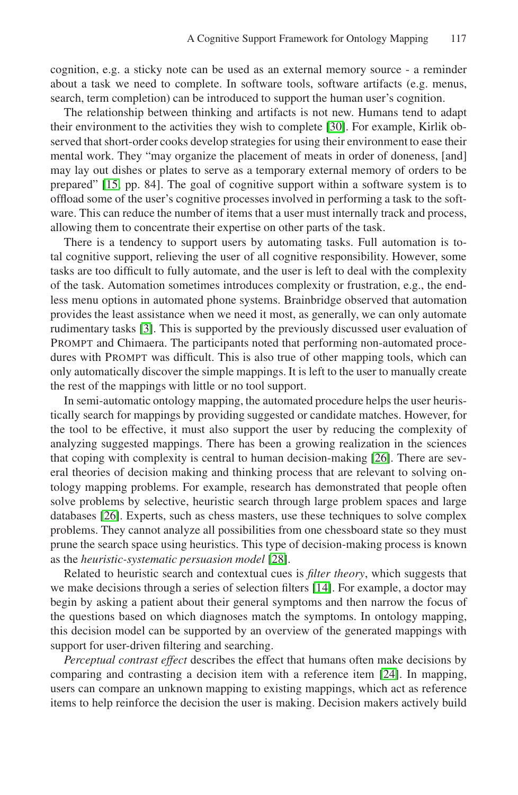cognition, e.g. a sticky note can be used as an external memory source - a reminder about a task we need to complete. In software tools, software artifacts (e.g. menus, search, term completion) can be introduced to support the human user's cognition.

The relationship between thinking and artifacts is not new. Humans tend to adapt their environment to the activities they wish to complete [30]. For example, Kirlik observed that short-order cooks develop strategies for using their environment to ease their mental work. They "may organize the placement of meats in order of doneness, [and] may lay out dishes or plates to serve as a temporary external memory of orders to be prepared" [15, pp. 84]. The goal of cognitive support within a software system is to offload some of the user's cognitive processes involved in performing a task to the soft[w](#page-12-2)are. This can reduce the number of items that a user must internally track and process, allowing them to concentrate their expertise on other parts of the task.

There is a tendency to support users by automating tasks. Full automation is total cognitive support, relieving the user of all cognitive responsibility. However, some tasks are too difficult to fully automate, and the user is left to deal with the complexity of the task. Automation sometimes introduces complexity or frustration, e.g., the endless menu options in automated phone systems. Brainbridge observed that automation provides the least assistance when we need it most, as generally, we can only automate rudimentary tasks [3]. This is supported by the previously discussed user evaluation of PROMPT and Chimaera. The participants note[d th](#page-13-8)at performing non-automated procedures with PROMPT was difficult. This is also true of other mapping tools, which can only automatically discover the simple mappings. It is left to the user to manually create the rest of the mappings with little or no tool support.

In semi-automatic ontology mapping, the automated procedure helps the user heuristically search for mappings by providing suggested or candidate matches. However, for the tool to be effective, it must also support the user by reducing the complexity of analyzing suggested ma[ppin](#page-13-9)gs. There has been a growing realization in the sciences that coping with complexity is central to human decision-making [26]. There are several theories of decision making [and](#page-13-10) thinking process that are relevant to solving ontology mapping problems. For example, research has demonstrated that people often solve problems by selective, heuristic search through large problem spaces and large databases [26]. Experts, such as chess masters, use these techniques to solve complex problems. They cannot analyze all possibilities from one chessboard state so they must prune the search space using heuristics. This type of decision-making process is known as the *heuristic-systematic persuasion model* [2[8\].](#page-13-11)

Related to heuristic search and contextual cues is *filter theory*, which suggests that we make decisions through a series of selection filters [14]. For example, a doctor may begin by asking a patient about their general symptoms and then narrow the focus of the questions based on which diagnoses match the symptoms. In ontology mapping, this decision model can be supported by an overview of the generated mappings with support for user-driven filtering and searching.

*Perceptual contrast effect* describes the effect that humans often make decisions by comparing and contrasting a decision item with a reference item [24]. In mapping, users can compare an unknown mapping to existing mappings, which act as reference items to help reinforce the decision the user is making. Decision makers actively build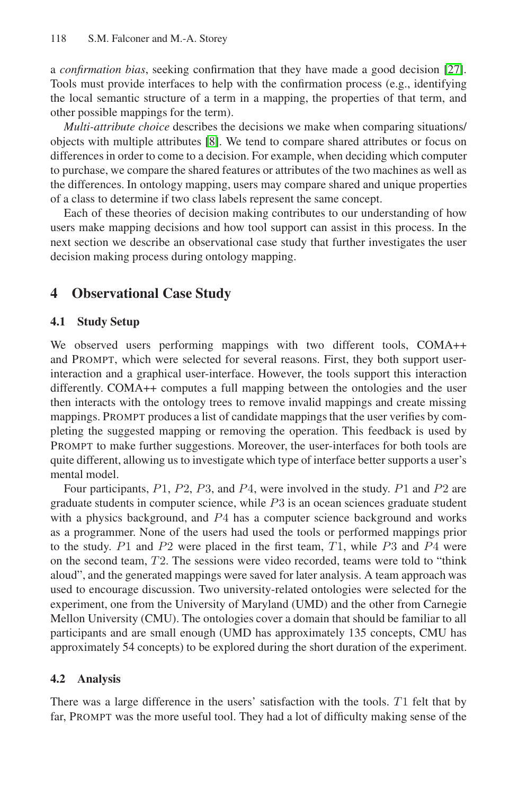a *confirmation bias*, seeking confirmation that they have made a good decision [27]. Tools must provide interfaces to help with the confirmation process (e.g., identifying the local semantic structure of a term in a mapping, the properties of that term, and other possible mappings for the term).

*Multi-attribute choice* describes the decisions we make when comparing situations/ objects with multiple attributes [8]. We tend to compare shared attributes or focus on differences in order to come to a decision. For example, when deciding which computer to purchase, we compare the shared features or attributes of the two machines as well as the differences. In ontology mapping, users may compare shared and unique properties of a class to determine if two class labels represent the same concept.

Each of these theories of decision making contributes to our understanding of how users make mapping decisions and how tool support can assist in this process. In the next section we describe an observational case study that further investigates the user decision making process during ontology mapping.

### **4 Observational Case Study**

#### **4.1 Study Setup**

We observed users performing mappings with two different tools, COMA++ and PROMPT, which were selected for several reasons. First, they both support userinteraction and a graphical user-interface. However, the tools support this interaction differently. COMA++ computes a full mapping between the ontologies and the user then interacts with the ontology trees to remove invalid mappings and create missing mappings. PROMPT produces a list of candidate mappings that the user verifies by completing the suggested mapping or removing the operation. This feedback is used by PROMPT to make further suggestions. Moreover, the user-interfaces for both tools are quite different, allowing us to investigate which type of interface better supports a user's mental model.

Four participants, P1, P2, P3, and P4, were involved in the study. P1 and P2 are graduate students in computer science, while  $P3$  is an ocean sciences graduate student with a physics background, and  $P_4$  has a computer science background and works as a programmer. None of the users had used the tools or performed mappings prior to the study.  $P1$  and  $P2$  were placed in the first team,  $T1$ , while  $P3$  and  $P4$  were on the second team,  $T<sub>2</sub>$ . The sessions were video recorded, teams were told to "think" aloud", and the generated mappings were saved for later analysis. A team approach was used to encourage discussion. Two university-related ontologies were selected for the experiment, one from the University of Maryland (UMD) and the other from Carnegie Mellon University (CMU). The ontologies cover a domain that should be familiar to all participants and are small enough (UMD has approximately 135 concepts, CMU has approximately 54 concepts) to be explored during the short duration of the experiment.

### **4.2 Analysis**

There was a large difference in the users' satisfaction with the tools.  $T1$  felt that by far, PROMPT was the more useful tool. They had a lot of difficulty making sense of the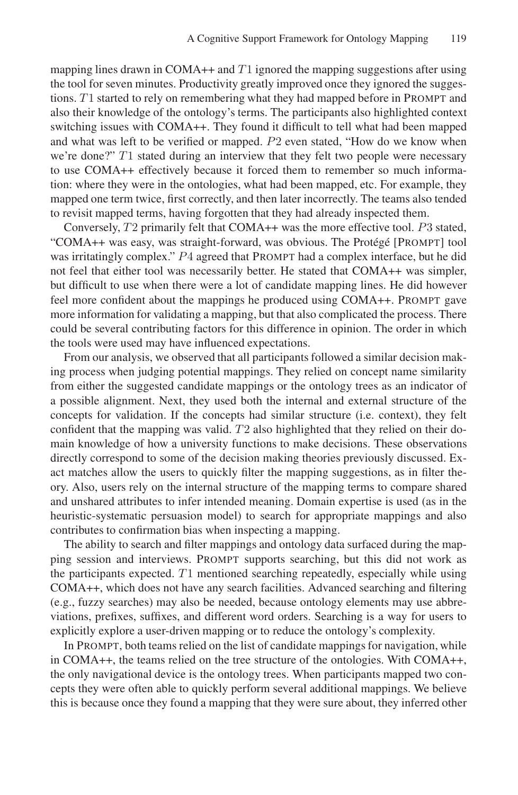mapping lines drawn in COMA++ and  $T1$  ignored the mapping suggestions after using the tool for seven minutes. Productivity greatly improved once they ignored the suggestions. T1 started to rely on remembering what they had mapped before in PROMPT and also their knowledge of the ontology's terms. The participants also highlighted context switching issues with COMA++. They found it difficult to tell what had been mapped and what was left to be verified or mapped. P2 even stated, "How do we know when we're done?"  $T1$  stated during an interview that they felt two people were necessary to use COMA++ effectively because it forced them to remember so much information: where they were in the ontologies, what had been mapped, etc. For example, they mapped one term twice, first correctly, and then later incorrectly. The teams also tended to revisit mapped terms, having forgotten that they had already inspected them.

Conversely,  $T2$  primarily felt that COMA++ was the more effective tool.  $P3$  stated, "COMA++ was easy, was straight-forward, was obvious. The Protégé [PROMPT] tool was irritatingly complex." P4 agreed that PROMPT had a complex interface, but he did not feel that either tool was necessarily better. He stated that COMA++ was simpler, but difficult to use when there were a lot of candidate mapping lines. He did however feel more confident about the mappings he produced using COMA++. PROMPT gave more information for validating a mapping, but that also complicated the process. There could be several contributing factors for this difference in opinion. The order in which the tools were used may have influenced expectations.

From our analysis, we observed that all participants followed a similar decision making process when judging potential mappings. They relied on concept name similarity from either the suggested candidate mappings or the ontology trees as an indicator of a possible alignment. Next, they used both the internal and external structure of the concepts for validation. If the concepts had similar structure (i.e. context), they felt confident that the mapping was valid.  $T_2$  also highlighted that they relied on their domain knowledge of how a university functions to make decisions. These observations directly correspond to some of the decision making theories previously discussed. Exact matches allow the users to quickly filter the mapping suggestions, as in filter theory. Also, users rely on the internal structure of the mapping terms to compare shared and unshared attributes to infer intended meaning. Domain expertise is used (as in the heuristic-systematic persuasion model) to search for appropriate mappings and also contributes to confirmation bias when inspecting a mapping.

The ability to search and filter mappings and ontology data surfaced during the mapping session and interviews. PROMPT supports searching, but this did not work as the participants expected.  $T_1$  mentioned searching repeatedly, especially while using COMA++, which does not have any search facilities. Advanced searching and filtering (e.g., fuzzy searches) may also be needed, because ontology elements may use abbreviations, prefixes, suffixes, and different word orders. Searching is a way for users to explicitly explore a user-driven mapping or to reduce the ontology's complexity.

In PROMPT, both teams relied on the list of candidate mappings for navigation, while in COMA++, the teams relied on the tree structure of the ontologies. With COMA++, the only navigational device is the ontology trees. When participants mapped two concepts they were often able to quickly perform several additional mappings. We believe this is because once they found a mapping that they were sure about, they inferred other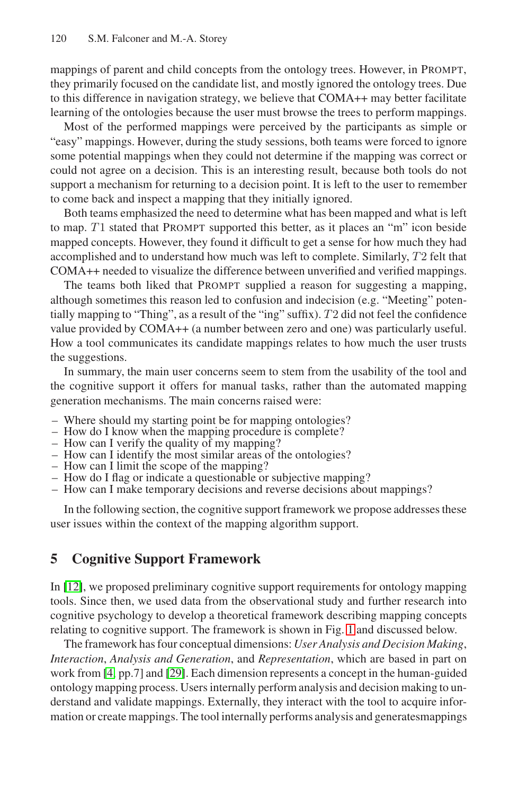mappings of parent and child concepts from the ontology trees. However, in PROMPT, they primarily focused on the candidate list, and mostly ignored the ontology trees. Due to this difference in navigation strategy, we believe that COMA++ may better facilitate learning of the ontologies because the user must browse the trees to perform mappings.

Most of the performed mappings were perceived by the participants as simple or "easy" mappings. However, during the study sessions, both teams were forced to ignore some potential mappings when they could not determine if the mapping was correct or could not agree on a decision. This is an interesting result, because both tools do not support a mechanism for returning to a decision point. It is left to the user to remember to come back and inspect a mapping that they initially ignored.

Both teams emphasized the need to determine what has been mapped and what is left to map.  $T1$  stated that PROMPT supported this better, as it places an "m" icon beside mapped concepts. However, they found it difficult to get a sense for how much they had accomplished and to understand how much was left to complete. Similarly,  $T2$  felt that COMA++ needed to visualize the difference between unverified and verified mappings.

The teams both liked that PROMPT supplied a reason for suggesting a mapping, although sometimes this reason led to confusion and indecision (e.g. "Meeting" potentially mapping to "Thing", as a result of the "ing" suffix).  $T2$  did not feel the confidence value provided by COMA++ (a number between zero and one) was particularly useful. How a tool communicates its candidate mappings relates to how much the user trusts the suggestions.

In summary, the main user concerns seem to stem from the usability of the tool and the cognitive support it offers for manual tasks, rather than the automated mapping generation mechanisms. The main concerns raised were:

- Where should my starting point be for mapping ontologies?
- How do I know when the mapping procedure is complete?
- How can I verify the quality of my mapping?
- How can I identify the most similar areas of the ontologies?
- How can I limit the scope of the mapping?
- How do I flag or indicate a questionable or subjective mapping?
- How can I make temporary decisions and reverse decisions about mappings?

In the following section, the cognitive support framework we propose addresses these user issues within the context of the map[pin](#page-7-0)g algorithm support.

## **5 [Co](#page-13-12)gnitive Support Framework**

In [12], we proposed preliminary cognitive support requirements for ontology mapping tools. Since then, we used data from the observational study and further research into cognitive psychology to develop a theoretical framework describing mapping concepts relating to cognitive support. The framework is shown in Fig. 1 and discussed below.

The framework has four conceptual dimensions: *User Analysis and Decision Making*, *Interaction*, *Analysis and Generation*, and *Representation*, which are based in part on work from [4, pp.7] and [29]. Each dimension represents a concept in the human-guided ontology mapping process. Users internally perform analysis and decision making to understand and validate mappings. Externally, they interact with the tool to acquire information or create mappings. The tool internally performs analysis and generatesmappings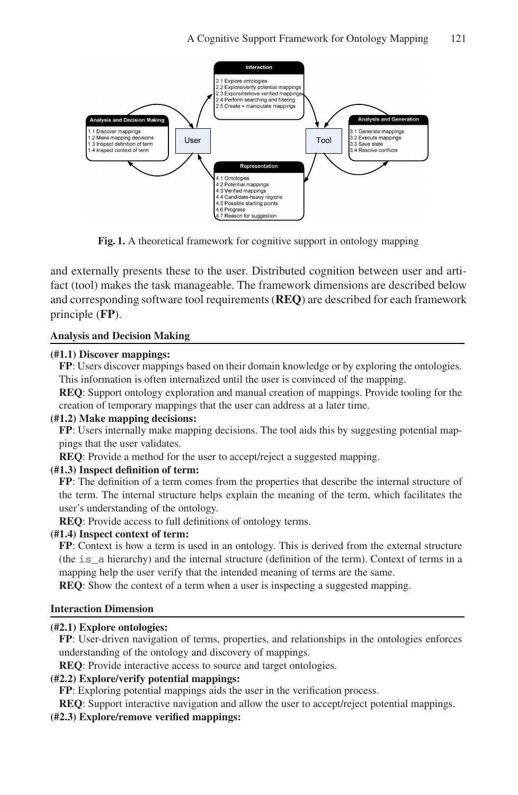

<span id="page-7-0"></span>**Fig. 1.** A theoretical framework for cognitive support in ontology mapping

and externally presents these to the user. Distributed cognition between user and artifact (tool) makes the task manageable. The framework dimensions are described below and corresponding software tool requirements (**REQ**) are described for each framework principle (**FP**).

### **Analysis and Decision Making**

#### **(#1.1) Discover mappings:**

**FP**: Users discover mappings based on their domain knowledge or by exploring the ontologies. This information is often internalized until the user is convinced of the mapping.

**REQ**: Support ontology exploration and manual creation of mappings. Provide tooling for the creation of temporary mappings that the user can address at a later time.

#### **(#1.2) Make mapping decisions:**

**FP**: Users internally make mapping decisions. The tool aids this by suggesting potential mappings that the user validates.

**REQ**: Provide a method for the user to accept/reject a suggested mapping.

#### **(#1.3) Inspect definition of term:**

**FP**: The definition of a term comes from the properties that describe the internal structure of the term. The internal structure helps explain the meaning of the term, which facilitates the user's understanding of the ontology.

**REQ**: Provide access to full definitions of ontology terms.

#### **(#1.4) Inspect context of term:**

**FP**: Context is how a term is used in an ontology. This is derived from the external structure (the is\_a hierarchy) and the internal structure (definition of the term). Context of terms in a mapping help the user verify that the intended meaning of terms are the same.

**REQ**: Show the context of a term when a user is inspecting a suggested mapping.

#### **Interaction Dimension**

#### **(#2.1) Explore ontologies:**

**FP**: User-driven navigation of terms, properties, and relationships in the ontologies enforces understanding of the ontology and discovery of mappings.

**REQ**: Provide interactive access to source and target ontologies.

#### **(#2.2) Explore/verify potential mappings:**

**FP**: Exploring potential mappings aids the user in the verification process.

**REQ**: Support interactive navigation and allow the user to accept/reject potential mappings.

#### **(#2.3) Explore/remove verified mappings:**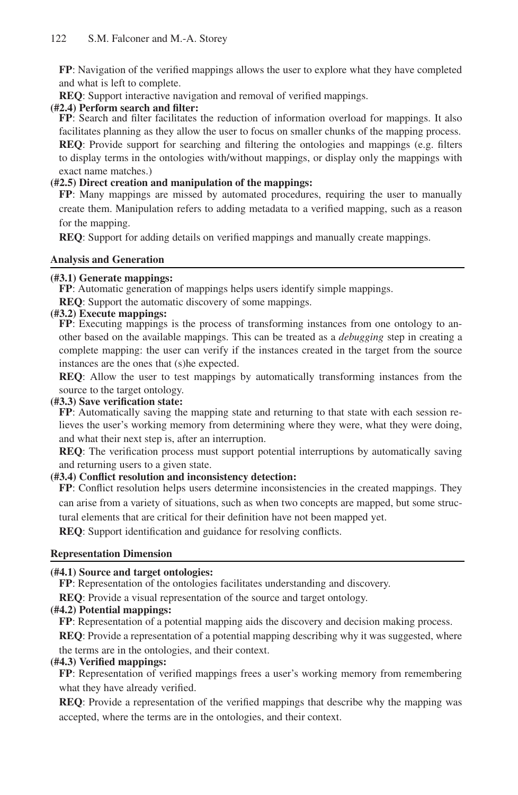**FP**: Navigation of the verified mappings allows the user to explore what they have completed and what is left to complete.

**REQ**: Support interactive navigation and removal of verified mappings.

### **(#2.4) Perform search and filter:**

**FP**: Search and filter facilitates the reduction of information overload for mappings. It also facilitates planning as they allow the user to focus on smaller chunks of the mapping process. **REQ**: Provide support for searching and filtering the ontologies and mappings (e.g. filters to display terms in the ontologies with/without mappings, or display only the mappings with exact name matches.)

### **(#2.5) Direct creation and manipulation of the mappings:**

**FP**: Many mappings are missed by automated procedures, requiring the user to manually create them. Manipulation refers to adding metadata to a verified mapping, such as a reason for the mapping.

**REQ**: Support for adding details on verified mappings and manually create mappings.

### **Analysis and Generation**

### **(#3.1) Generate mappings:**

**FP**: Automatic generation of mappings helps users identify simple mappings.

**REQ**: Support the automatic discovery of some mappings.

### **(#3.2) Execute mappings:**

**FP**: Executing mappings is the process of transforming instances from one ontology to another based on the available mappings. This can be treated as a *debugging* step in creating a complete mapping: the user can verify if the instances created in the target from the source instances are the ones that (s)he expected.

**REQ**: Allow the user to test mappings by automatically transforming instances from the source to the target ontology.

### **(#3.3) Save verification state:**

**FP**: Automatically saving the mapping state and returning to that state with each session relieves the user's working memory from determining where they were, what they were doing, and what their next step is, after an interruption.

**REQ**: The verification process must support potential interruptions by automatically saving and returning users to a given state.

### **(#3.4) Conflict resolution and inconsistency detection:**

**FP**: Conflict resolution helps users determine inconsistencies in the created mappings. They can arise from a variety of situations, such as when two concepts are mapped, but some structural elements that are critical for their definition have not been mapped yet.

**REQ**: Support identification and guidance for resolving conflicts.

## **Representation Dimension**

### **(#4.1) Source and target ontologies:**

**FP**: Representation of the ontologies facilitates understanding and discovery.

**REQ**: Provide a visual representation of the source and target ontology.

### **(#4.2) Potential mappings:**

**FP**: Representation of a potential mapping aids the discovery and decision making process.

**REQ**: Provide a representation of a potential mapping describing why it was suggested, where the terms are in the ontologies, and their context.

### **(#4.3) Verified mappings:**

**FP**: Representation of verified mappings frees a user's working memory from remembering what they have already verified.

**REQ**: Provide a representation of the verified mappings that describe why the mapping was accepted, where the terms are in the ontologies, and their context.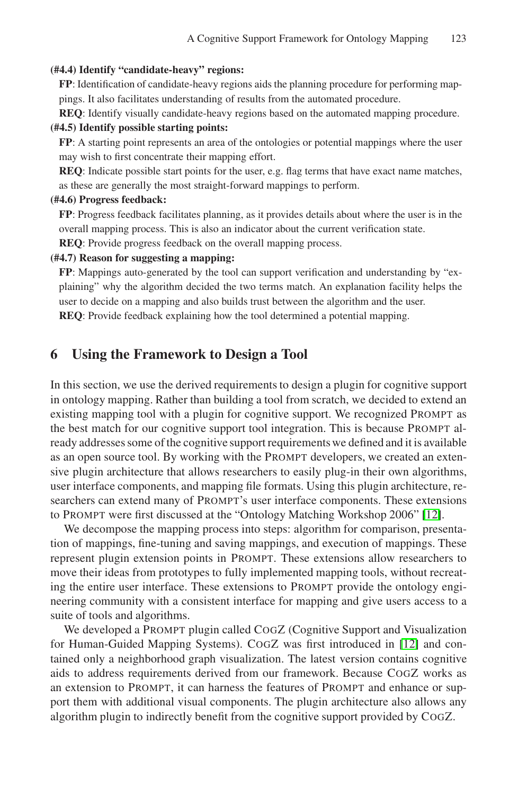### **(#4.4) Identify "candidate-heavy" regions:**

**FP**: Identification of candidate-heavy regions aids the planning procedure for performing mappings. It also facilitates understanding of results from the automated procedure.

**REQ**: Identify visually candidate-heavy regions based on the automated mapping procedure. **(#4.5) Identify possible starting points:**

**FP**: A starting point represents an area of the ontologies or potential mappings where the user may wish to first concentrate their mapping effort.

**REQ**: Indicate possible start points for the user, e.g. flag terms that have exact name matches, as these are generally the most straight-forward mappings to perform.

**(#4.6) Progress feedback:**

**FP**: Progress feedback facilitates planning, as it provides details about where the user is in the overall mapping process. This is also an indicator about the current verification state.

**REQ**: Provide progress feedback on the overall mapping process.

### **(#4.7) Reason for suggesting a mapping:**

**FP**: Mappings auto-generated by the tool can support verification and understanding by "explaining" why the algorithm decided the two terms match. An explanation facility helps the user to decide on a mapping and also builds trust between the algorithm and the user.

**REQ**: Provide feedback explaining how the tool determined a potential mapping.

# **6 Using the Framework to Design a Tool**

In this section, we use the derived requirements to design a plugin for cognitive support in ontology mapping. Rather than building a tool from sc[ratch](#page-13-13), we decided to extend an existing mapping tool with a plugin for cognitive support. We recognized PROMPT as the best match for our cognitive support tool integration. This is because PROMPT already addresses some of the cognitive support requirements we defined and it is available as an open source tool. By working with the PROMPT developers, we created an extensive plugin architecture that allows researchers to easily plug-in their own algorithms, user interface components, and mapping file formats. Using this plugin architecture, researchers can extend many of PROMPT's user interface components. These extensions to PROMPT were first discussed at the "Ontology Matching Workshop 2006" [12].

We decompose the mapping process into steps: al[gor](#page-13-13)ithm for comparison, presentation of mappings, fine-tuning and saving mappings, and execution of mappings. These represent plugin extension points in PROMPT. These extensions allow researchers to move their ideas from prototypes to fully implemented mapping tools, without recreating the entire user interface. These extensions to PROMPT provide the ontology engineering community with a consistent interface for mapping and give users access to a suite of tools and algorithms.

We developed a PROMPT plugin called COGZ (Cognitive Support and Visualization for Human-Guided Mapping Systems). COGZ was first introduced in [12] and contained only a neighborhood graph visualization. The latest version contains cognitive aids to address requirements derived from our framework. Because COGZ works as an extension to PROMPT, it can harness the features of PROMPT and enhance or support them with additional visual components. The plugin architecture also allows any algorithm plugin to indirectly benefit from the cognitive support provided by COGZ.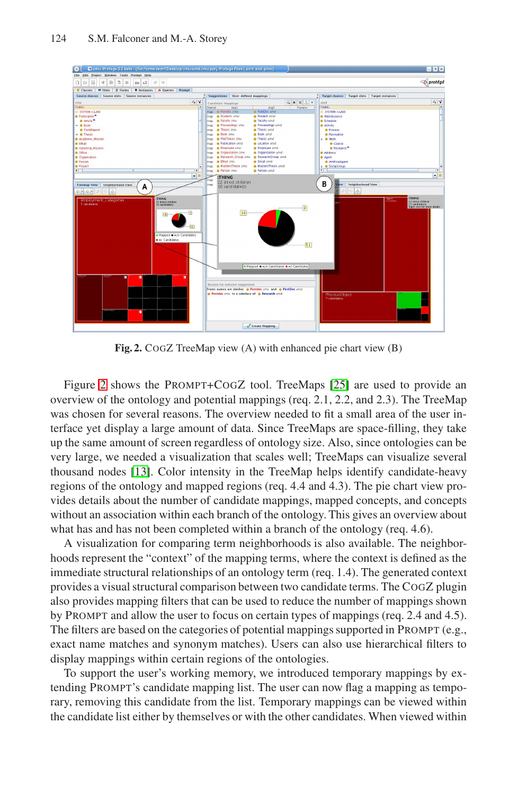

**Fig. 2.** COGZ TreeMap view (A) with enhanced pie chart view (B)

Figure 2 shows the PROMPT+COGZ tool. TreeMaps [25] are used to provide an overview of the ontology and potential mappings (req. 2.1, 2.2, and 2.3). The TreeMap was chosen for several reasons. The overview needed to fit a small area of the user interface yet display a large amount of data. Since TreeMaps are space-filling, they take up the same amount of screen regardless of ontology size. Also, since ontologies can be very large, we needed a visualization that scales well; TreeMaps can visualize several thousand nodes [13]. Color intensity in the TreeMap helps identify candidate-heavy regions of the ontology and mapped regions (req. 4.4 and 4.3). The pie chart view provides details about the number of candidate mappings, mapped concepts, and concepts without an association within each branch of the ontology. This gives an overview about what has and has not been completed within a branch of the ontology (req. 4.6).

A visualization for comparing term neighborhoods is also available. The neighborhoods represent the "context" of the mapping terms, where the context is defined as the immediate structural relationships of an ontology term (req. 1.4). The generated context provides a visual structural comparison between two candidate terms. The COGZ plugin also provides mapping filters that can be used to reduce the number of mappings shown by PROMPT and allow the user to focus on certain types of mappings (req. 2.4 and 4.5). The filters are based on the categories of potential mappings supported in PROMPT (e.g., exact name matches and synonym matches). Users can also use hierarchical filters to display mappings within certain regions of the ontologies.

To support the user's working memory, we introduced temporary mappings by extending PROMPT's candidate mapping list. The user can now flag a mapping as temporary, removing this candidate from the list. Temporary mappings can be viewed within the candidate list either by themselves or with the other candidates. When viewed within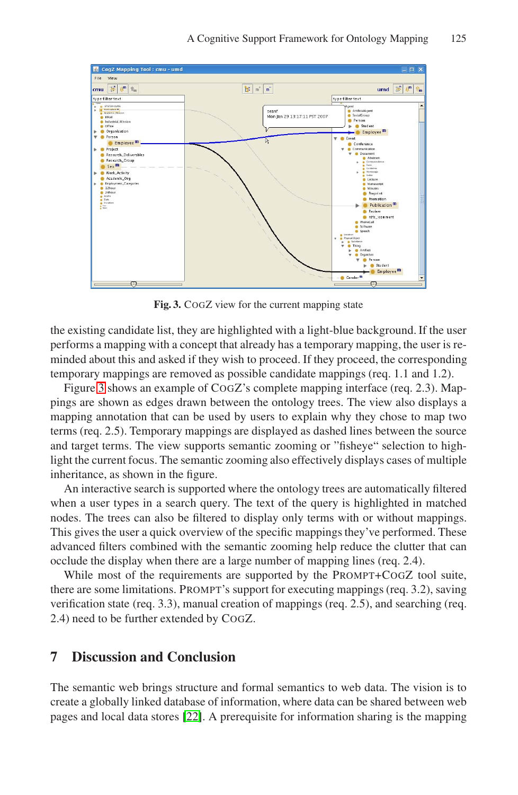

**Fig. 3.** COGZ view for the current mapping state

the existing candidate list, they are highlighted with a light-blue background. If the user performs a mapping with a concept that already has a temporary mapping, the user is reminded about this and asked if they wish to proceed. If they proceed, the corresponding temporary mappings are removed as possible candidate mappings (req. 1.1 and 1.2).

Figure 3 shows an example of COGZ's complete mapping interface (req. 2.3). Mappings are shown as edges drawn between the ontology trees. The view also displays a mapping annotation that can be used by users to explain why they chose to map two terms (req. 2.5). Temporary mappings are displayed as dashed lines between the source and target terms. The view supports semantic zooming or "fisheye" selection to highlight the current focus. The semantic zooming also effectively displays cases of multiple inheritance, as shown in the figure.

An interactive search is supported where the ontology trees are automatically filtered when a user types in a search query. The text of the query is highlighted in matched nodes. The trees can also be filtered to display only terms with or without mappings. This gives the user a quick overview of the specific mappings they've performed. These advanced filters combined with the semantic zooming help reduce the clutter that can occlude the display when there are a large number of mapping lines (req. 2.4).

While most of the requirements are supported by the PROMPT+COGZ tool suite, there are some limitations. PROMPT's support for executing mappings (req. 3.2), saving verific[ation](#page-13-14) state (req. 3.3), manual creation of mappings (req. 2.5), and searching (req. 2.4) need to be further extended by COGZ.

# **7 Discussion and Conclusion**

The semantic web brings structure and formal semantics to web data. The vision is to create a globally linked database of information, where data can be shared between web pages and local data stores [22]. A prerequisite for information sharing is the mapping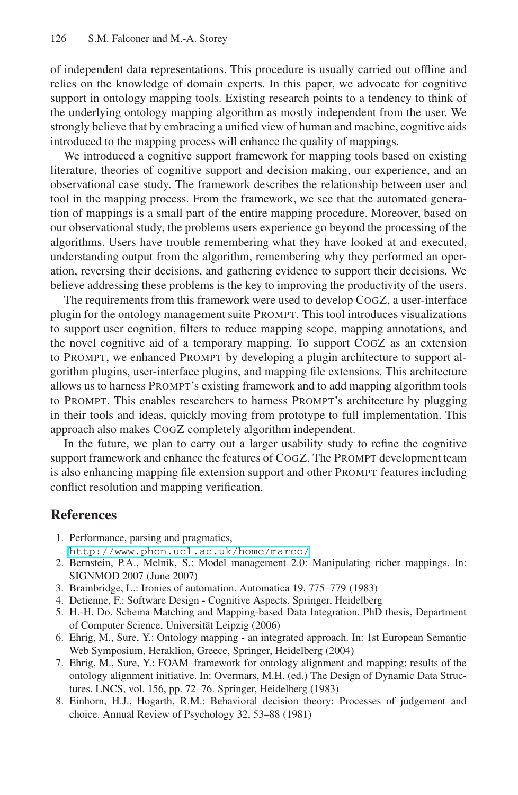of independent data representations. This procedure is usually carried out offline and relies on the knowledge of domain experts. In this paper, we advocate for cognitive support in ontology mapping tools. Existing research points to a tendency to think of the underlying ontology mapping algorithm as mostly independent from the user. We strongly believe that by embracing a unified view of human and machine, cognitive aids introduced to the mapping process will enhance the quality of mappings.

We introduced a cognitive support framework for mapping tools based on existing literature, theories of cognitive support and decision making, our experience, and an observational case study. The framework describes the relationship between user and tool in the mapping process. From the framework, we see that the automated generation of mappings is a small part of the entire mapping procedure. Moreover, based on our observational study, the problems users experience go beyond the processing of the algorithms. Users have trouble remembering what they have looked at and executed, understanding output from the algorithm, remembering why they performed an operation, reversing their decisions, and gathering evidence to support their decisions. We believe addressing these problems is the key to improving the productivity of the users.

The requirements from this framework were used to develop COGZ, a user-interface plugin for the ontology management suite PROMPT. This tool introduces visualizations to support user cognition, filters to reduce mapping scope, mapping annotations, and the novel cognitive aid of a temporary mapping. To support COGZ as an extension to PROMPT, we enhanced PROMPT by developing a plugin architecture to support algorithm plugins, user-interface plugins, and mapping file extensions. This architecture allows us to harness PROMPT's existing framework and to add mapping algorithm tools to PROMPT. This enables researchers to harness PROMPT's architecture by plugging in their tools and ideas, quickly moving from prototype to full implementation. This approach also makes COGZ completely algorithm independent.

<span id="page-12-2"></span><span id="page-12-1"></span><span id="page-12-0"></span>[In the future, we plan to carry](http://www.phon.ucl.ac.uk/home/marco/) out a larger usability study to refine the cognitive support framework and enhance the features of COGZ. The PROMPT development team is also enhancing mapping file extension support and other PROMPT features including conflict resolution and mapping verification.

### **References**

- 1. Performance, parsing and pragmatics,
	- http://www.phon.ucl.ac.uk/home/marco/
- 2. Bernstein, P.A., Melnik, S.: Model management 2.0: Manipulating richer mappings. In: SIGNMOD 2007 (June 2007)
- <span id="page-12-3"></span>3. Brainbridge, L.: Ironies of automation. Automatica 19, 775–779 (1983)
- 4. Detienne, F.: Software Design Cognitive Aspects. Springer, Heidelberg
- 5. H.-H. Do. Schema Matching and Mapping-based Data Integration. PhD thesis, Department of Computer Science, Universität Leipzig (2006)
- 6. Ehrig, M., Sure, Y.: Ontology mapping an integrated approach. In: 1st European Semantic Web Symposium, Heraklion, Greece, Springer, Heidelberg (2004)
- 7. Ehrig, M., Sure, Y.: FOAM–framework for ontology alignment and mapping; results of the ontology alignment initiative. In: Overmars, M.H. (ed.) The Design of Dynamic Data Structures. LNCS, vol. 156, pp. 72–76. Springer, Heidelberg (1983)
- 8. Einhorn, H.J., Hogarth, R.M.: Behavioral decision theory: Processes of judgement and choice. Annual Review of Psychology 32, 53–88 (1981)